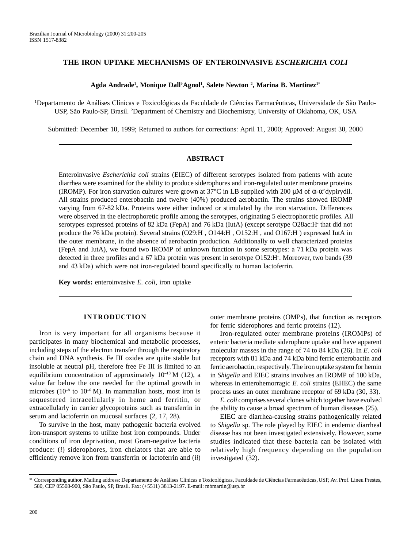# **THE IRON UPTAKE MECHANISMS OF ENTEROINVASIVE** *ESCHERICHIA COLI*

#### **Agda Andrade1 , Monique Dall'Agnol1 , Salete Newton 2 , Marina B. Martinez1\***

1 Departamento de Análises Clínicas e Toxicológicas da Faculdade de Ciências Farmacêuticas, Universidade de São Paulo-USP, São Paulo-SP, Brasil. <sup>2</sup>Department of Chemistry and Biochemistry, University of Oklahoma, OK, USA

Submitted: December 10, 1999; Returned to authors for corrections: April 11, 2000; Approved: August 30, 2000

### **ABSTRACT**

Enteroinvasive *Escherichia coli* strains (EIEC) of different serotypes isolated from patients with acute diarrhea were examined for the ability to produce siderophores and iron-regulated outer membrane proteins (IROMP). For iron starvation cultures were grown at 37°C in LB supplied with 200  $\mu$ M of  $\alpha$ - $\alpha$ 'dypirydil. All strains produced enterobactin and twelve (40%) produced aerobactin. The strains showed IROMP varying from 67-82 kDa. Proteins were either induced or stimulated by the iron starvation. Differences were observed in the electrophoretic profile among the serotypes, originating 5 electrophoretic profiles. All serotypes expressed proteins of 82 kDa (FepA) and 76 kDa (IutA) (except serotype O28ac: H that did not produce the 76 kDa protein). Several strains (O29:H<sup>-</sup>, O144:H<sup>-</sup>, O152:H<sup>-</sup>, and O167:H<sup>-</sup>) expressed IutA in the outer membrane, in the absence of aerobactin production. Additionally to well characterized proteins (FepA and IutA), we found two IROMP of unknown function in some serotypes: a 71 kDa protein was detected in three profiles and a 67 kDa protein was present in serotype O152:H– . Moreover, two bands (39 and 43 kDa) which were not iron-regulated bound specifically to human lactoferrin.

**Key words:** enteroinvasive *E. coli*, iron uptake

### **INTRODUCTION**

Iron is very important for all organisms because it participates in many biochemical and metabolic processes, including steps of the electron transfer through the respiratory chain and DNA synthesis. Fe III oxides are quite stable but insoluble at neutral pH, therefore free Fe III is limited to an equilibrium concentration of approximately  $10^{-18}$  M (12), a value far below the one needed for the optimal growth in microbes ( $10^{-8}$  to  $10^{-6}$  M). In mammalian hosts, most iron is sequestered intracellularly in heme and ferritin, or extracellularly in carrier glycoproteins such as transferrin in serum and lactoferrin on mucosal surfaces (2, 17, 28).

To survive in the host, many pathogenic bacteria evolved iron-transport systems to utilize host iron compounds. Under conditions of iron deprivation, most Gram-negative bacteria produce: (*i*) siderophores, iron chelators that are able to efficiently remove iron from transferrin or lactoferrin and (*ii*) outer membrane proteins (OMPs), that function as receptors for ferric siderophores and ferric proteins (12).

Iron-regulated outer membrane proteins (IROMPs) of enteric bacteria mediate siderophore uptake and have apparent molecular masses in the range of 74 to 84 kDa (26). In *E. coli* receptors with 81 kDa and 74 kDa bind ferric enterobactin and ferric aerobactin, respectively. The iron uptake system for hemin in *Shigella* and EIEC strains involves an IROMP of 100 kDa, whereas in enterohemorragic *E. coli* strains (EHEC) the same process uses an outer membrane receptor of 69 kDa (30, 33).

*E. coli* comprises several clones which together have evolved the ability to cause a broad spectrum of human diseases (25).

EIEC are diarrhea-causing strains pathogenically related to *Shigella* sp. The role played by EIEC in endemic diarrheal disease has not been investigated extensively. However, some studies indicated that these bacteria can be isolated with relatively high frequency depending on the population investigated (32).

<sup>\*</sup> Corresponding author. Mailing address: Departamento de Análises Clínicas e Toxicológicas, Faculdade de Ciências Farmacêuticas, USP, Av. Prof. Lineu Prestes, 580, CEP 05508-900, São Paulo, SP, Brasil. Fax: (+5511) 3813-2197. E-mail: mbmartin@usp.br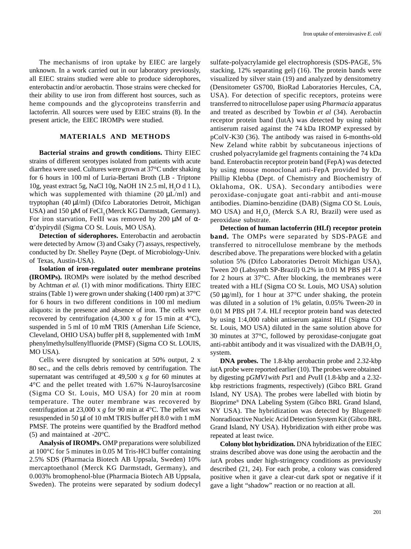The mechanisms of iron uptake by EIEC are largely unknown. In a work carried out in our laboratory previously, all EIEC strains studied were able to produce siderophores, enterobactin and/or aerobactin. Those strains were checked for their ability to use iron from different host sources, such as heme compounds and the glycoproteins transferrin and lactoferrin. All sources were used by EIEC strains (8). In the present article, the EIEC IROMPs were studied.

### **MATERIALS AND METHODS**

**Bacterial strains and growth conditions.** Thirty EIEC strains of different serotypes isolated from patients with acute diarrhea were used. Cultures were grown at 37°C under shaking for 6 hours in 100 ml of Luria-Bertani Broth (LB - Triptone 10g, yeast extract 5g, NaCl 10g, NaOH 1N 2.5 ml,  $H_2O$  d 1 L), which was supplemented with thiamine  $(20 \mu L/ml)$  and tryptophan (40 µl/ml) (Difco Laboratories Detroit, Michigan USA) and 150 µM of FeCl, (Merck KG Darmstadt, Germany). For iron starvation, FeIII was removed by 200  $\mu$ M of  $\alpha$ α'dypirydil (Sigma CO St. Louis, MO USA).

**Detection of siderophores.** Enterobactin and aerobactin were detected by Arnow (3) and Csaky (7) assays, respectively, conducted by Dr. Shelley Payne (Dept. of Microbiology-Univ. of Texas, Austin-USA).

**Isolation of iron-regulated outer membrane proteins (IROMPs).** IROMPs were isolated by the method described by Achtman *et al.* (1) with minor modifications. Thirty EIEC strains (Table 1) were grown under shaking (1400 rpm) at 37°C for 6 hours in two different conditions in 100 ml medium aliquots: in the presence and absence of iron. The cells were recovered by centrifugation (4,300 x *g* for 15 min at 4°C), suspended in 5 ml of 10 mM TRIS (Amershan Life Science, Cleveland, OHIO USA) buffer pH 8, supplemented with 1mM phenylmethylsulfenylfluoride (PMSF) (Sigma CO St. LOUIS, MO USA).

Cells were disrupted by sonication at 50% output, 2 x 80 sec., and the cells debris removed by centrifugation. The supernatant was centrifuged at 49,500 x *g* for 60 minutes at 4°C and the pellet treated with 1.67% N-lauroylsarcosine (Sigma CO St. Louis, MO USA) for 20 min at room temperature. The outer membrane was recovered by centrifugation at 23,000 x *g* for 90 min at 4°C. The pellet was resuspended in 50 µl of 10 mM TRIS buffer pH 8.0 with 1 mM PMSF. The proteins were quantified by the Bradford method (5) and maintained at -20°C.

**Analysis of IROMPs.** OMP preparations were solubilized at 100°C for 5 minutes in 0.05 M Tris-HCl buffer containing 2.5% SDS (Pharmacia Biotech AB Uppsala, Sweden) 10% mercaptoethanol (Merck KG Darmstadt, Germany), and 0.003% bromophenol-blue (Pharmacia Biotech AB Uppsala, Sweden). The proteins were separated by sodium dodecyl sulfate-polyacrylamide gel electrophoresis (SDS-PAGE, 5% stacking, 12% separating gel) (16). The protein bands were visualized by silver stain (19) and analyzed by densitometry (Densitometer GS700, BioRad Laboratories Hercules, CA, USA). For detection of specific receptors, proteins were transferred to nitrocellulose paper using *Pharmacia* apparatus and treated as described by Towbin *et al* (34). Aerobactin receptor protein band (IutA) was detected by using rabbit antiserum raised against the 74 kDa IROMP expressed by pColV-K30 (36). The antibody was raised in 6-months-old New Zeland white rabbit by subcutaneous injections of crushed polyacrylamide gel fragments containing the 74 kDa band. Enterobactin receptor protein band (FepA) was detected by using mouse monoclonal anti-FepA provided by Dr. Phillip Klebba (Dept. of Chemistry and Biochemistry of Oklahoma, OK. USA). Secondary antibodies were peroxidase-conjugate goat anti-rabbit and anti-mouse antibodies. Diamino-benzidine (DAB) (Sigma CO St. Louis, MO USA) and  $H_2O_2$  (Merck S.A RJ, Brazil) were used as peroxidase substrate.

**Detection of human lactoferrin (HLf) receptor protein band.** The OMPs were separated by SDS-PAGE and transferred to nitrocellulose membrane by the methods described above. The preparations were blocked with a gelatin solution 5% (Difco Laboratories Detroit Michigan USA), Tween 20 (Labsynth SP-Brazil) 0.2% in 0.01 M PBS pH 7.4 for 2 hours at 37°C. After blocking, the membranes were treated with a HLf (Sigma CO St. Louis, MO USA) solution (50  $\mu$ g/ml), for 1 hour at 37°C under shaking, the protein was diluted in a solution of 1% gelatin, 0.05% Tween-20 in 0.01 M PBS pH 7.4. HLf receptor protein band was detected by using 1:4,000 rabbit antiserum against HLf (Sigma CO St. Louis, MO USA) diluted in the same solution above for 30 minutes at 37°C, followed by peroxidase-conjugate goat anti-rabbit antibody and it was visualized with the  $\text{DAB/H}_{2}\text{O}_{2}$ system.

**DNA probes.** The 1.8-kbp aerobactin probe and 2.32-kbp *iut*A probe were reported earlier (10). The probes were obtained by digesting p*GMV1with Pst*1 and *Pvu*II (1.8-kbp and a 2.32 kbp restrictions fragments, respectively) (Gibco BRL Grand Island, NY USA). The probes were labelled with biotin by Bioprime® DNA Labeling System (Gibco BRL Grand Island, NY USA). The hybridization was detected by Blugene® Nonradioactive Nucleic Acid Detection System Kit (Gibco BRL Grand Island, NY USA). Hybridization with either probe was repeated at least twice.

**Colony blot hybridization.** DNA hybridization of the EIEC strains described above was done using the aerobactin and the *iut*A probes under high-stringency conditions as previously described (21, 24). For each probe, a colony was considered positive when it gave a clear-cut dark spot or negative if it gave a light "shadow" reaction or no reaction at all.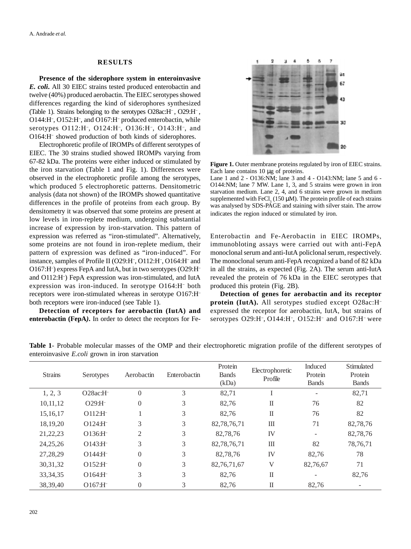### **RESULTS**

**Presence of the siderophore system in enteroinvasive** *E. coli***.** All 30 EIEC strains tested produced enterobactin and twelve (40%) produced aerobactin. The EIEC serotypes showed differences regarding the kind of siderophores synthesized (Table 1). Strains belonging to the serotypes O28ac:H– , O29:H– , O144: H<sup>-</sup>, O152: H<sup>-</sup>, and O167: H<sup>-</sup> produced enterobactin, while serotypes O112:H– , O124:H– , O136:H–, O143:H– , and O164:H– showed production of both kinds of siderophores.

Electrophoretic profile of IROMPs of different serotypes of EIEC. The 30 strains studied showed IROMPs varying from 67-82 kDa. The proteins were either induced or stimulated by the iron starvation (Table 1 and Fig. 1). Differences were observed in the electrophoretic profile among the serotypes, which produced 5 electrophoretic patterns. Densitometric analysis (data not shown) of the IROMPs showed quantitative differences in the profile of proteins from each group. By densitometry it was observed that some proteins are present at low levels in iron-replete medium, undergoing substantial increase of expression by iron-starvation. This pattern of expression was referred as "iron-stimulated". Alternatively, some proteins are not found in iron-replete medium, their pattern of expression was defined as "iron-induced". For instance, samples of Profile II (O29:H<sup>-</sup>, O112:H<sup>-</sup>, O164:H<sup>-</sup> and O167:H– ) express FepA and IutA, but in two serotypes (O29:H– and O112:H– ) FepA expression was iron-stimulated, and IutA expression was iron-induced. In serotype O164:H– both receptors were iron-stimulated whereas in serotype O167:H– both receptors were iron-induced (see Table 1).

**Detection of receptors for aerobactin (IutA) and enterobactin (FepA***)***.** In order to detect the receptors for Fe-



**Figure 1.** Outer membrane proteins regulated by iron of EIEC strains. Each lane contains 10 µg of proteins.

Lane 1 and 2 - O136:NM; lane 3 and 4 - O143:NM; lane 5 and 6 - O144:NM; lane 7 MW. Lane 1, 3, and 5 strains were grown in iron starvation medium. Lane 2, 4, and 6 strains were grown in medium supplemented with FeCl<sub>3</sub> (150  $\mu$ M). The protein profile of each strains was analysed by SDS-PÅGE and staining with silver stain. The arrow indicates the region induced or stimulated by iron.

Enterobactin and Fe-Aerobactin in EIEC IROMPs, immunobloting assays were carried out with anti-FepA monoclonal serum and anti-IutA policlonal serum, respectively. The monoclonal serum anti-FepA recognized a band of 82 kDa in all the strains, as expected (Fig. 2A). The serum anti-IutA revealed the protein of 76 kDa in the EIEC serotypes that produced this protein (Fig. 2B).

**Detection of genes for aerobactin and its receptor protein (IutA).** All serotypes studied except O28ac:H– expressed the receptor for aerobactin, IutA, but strains of serotypes O29:H<sup>-</sup>, O144:H<sup>-</sup>, O152:H<sup>-</sup> and O167:H<sup>-</sup> were

|                | encronivasive <i>E.com</i> grown in non-starvation |            |              |                         |                            |                    |                       |
|----------------|----------------------------------------------------|------------|--------------|-------------------------|----------------------------|--------------------|-----------------------|
| <b>Strains</b> | Serotypes                                          | Aerobactin | Enterobactin | Protein<br><b>Bands</b> | Electrophoretic<br>Profile | Induced<br>Protein | Stimulated<br>Protein |
|                |                                                    |            |              | (kDa)                   |                            | <b>Bands</b>       | <b>Bands</b>          |
| 1, 2, 3        | $O28ac:H^-$                                        | $\theta$   | 3            | 82,71                   |                            |                    | 82,71                 |
| 10,11,12       | $O29:$ H $^{-}$                                    | $\theta$   | 3            | 82,76                   | П                          | 76                 | 82                    |
| 15, 16, 17     | $O112:$ H                                          |            | 3            | 82,76                   | $_{\rm II}$                | 76                 | 82                    |
| 18,19,20       | $O124:$ H                                          | 3          | 3            | 82,78,76,71             | Ш                          | 71                 | 82,78,76              |
| 21, 22, 23     | $O136:$ H                                          | 2          | 3            | 82,78,76                | IV                         |                    | 82,78,76              |
| 24, 25, 26     | $O143:H^-$                                         | 3          | 3            | 82,78,76,71             | Ш                          | 82                 | 78, 76, 71            |
| 27,28,29       | $O144:$ H                                          | $\theta$   | 3            | 82,78,76                | IV                         | 82.76              | 78                    |
| 30, 31, 32     | $O152:$ H                                          | $\theta$   | 3            | 82, 76, 71, 67          | V                          | 82,76,67           | 71                    |
| 33, 34, 35     | $O164:$ H                                          | 3          | 3            | 82,76                   | $\mathbf I$                |                    | 82,76                 |
| 38, 39, 40     | $O167:$ H                                          | $\theta$   | 3            | 82,76                   | П                          | 82,76              |                       |

**Table 1**- Probable molecular masses of the OMP and their electrophoretic migration profile of the different serotypes of enteroinvasive *E.coli* grown in iron starvation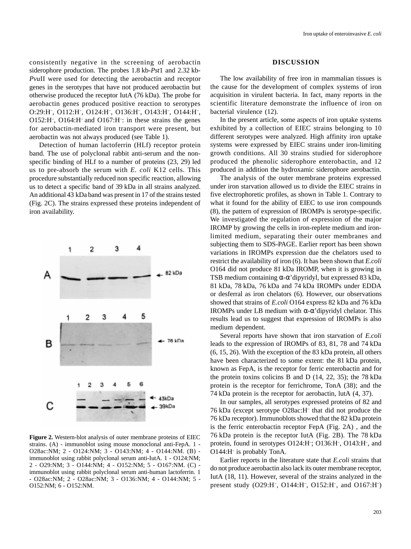consistently negative in the screening of aerobactin siderophore production. The probes 1.8 kb-*Pst*1 and 2.32 kb-*Pvu*II were used for detecting the aerobactin and receptor genes in the serotypes that have not produced aerobactin but otherwise produced the receptor IutA (76 kDa). The probe for aerobactin genes produced positive reaction to serotypes O:29:H<sup>-</sup>, O112:H<sup>-</sup>, O124:H<sup>-</sup>, O136:H<sup>-</sup>, O143:H<sup>-</sup>, O144:H<sup>-</sup>, O152:H– , O164:H– and O167:H– : in these strains the genes for aerobactin-mediated iron transport were present, but aerobactin was not always produced (see Table 1).

Detection of human lactoferrin (HLf) receptor protein band. The use of polyclonal rabbit anti-serum and the nonspecific binding of HLf to a number of proteins (23, 29) led us to pre-absorb the serum with *E. coli* K12 cells. This procedure substantially reduced non specific reaction, allowing us to detect a specific band of 39 kDa in all strains analyzed. An additional 43 kDa band was present in 17 of the strains tested (Fig. 2C). The strains expressed these proteins independent of iron availability.



**Figure 2.** Western-blot analysis of outer membrane proteins of EIEC strains. (A) - immunoblot using mouse monoclonal anti-FepA. 1 - O28ac:NM; 2 - O124:NM; 3 - O143:NM; 4 - O144:NM. (B) immunoblot using rabbit polyclonal serum anti-IutA. 1 - O124:NM; 2 - O29:NM; 3 - O144:NM; 4 - O152:NM; 5 - O167:NM. (C) immunoblot using rabbit polyclonal serum anti-human lactoferrin. 1 - O28ac:NM; 2 - O28ac:NM; 3 - O136:NM; 4 - O144:NM; 5 - O152:NM; 6 - O152:NM.

### **DISCUSSION**

The low availability of free iron in mammalian tissues is the cause for the development of complex systems of iron acquisition in virulent bacteria. In fact, many reports in the scientific literature demonstrate the influence of iron on bacterial virulence (12).

In the present article, some aspects of iron uptake systems exhibited by a collection of EIEC strains belonging to 10 different serotypes were analyzed. High affinity iron uptake systems were expressed by EIEC strains under iron-limiting growth conditions. All 30 strains studied for siderophore produced the phenolic siderophore enterobactin, and 12 produced in addition the hydroxamic siderophore aerobactin.

The analysis of the outer membrane proteins expressed under iron starvation allowed us to divide the EIEC strains in five electrophoretic profiles, as shown in Table 1. Contrary to what it found for the ability of EIEC to use iron compounds (8), the pattern of expression of IROMPs is serotype-specific. We investigated the regulation of expression of the major IROMP by growing the cells in iron-replete medium and ironlimited medium, separating their outer membranes and subjecting them to SDS-PAGE. Earlier report has been shown variations in IROMPs expression due the chelators used to restrict the availability of iron (6). It has been shown that *E.coli* O164 did not produce 81 kDa IROMP, when it is growing in TSB medium containing  $\alpha$ - $\alpha$ 'dipyridyl, but expressed 83 kDa, 81 kDa, 78 kDa, 76 kDa and 74 kDa IROMPs under EDDA or desferral as iron chelators (6). However, our observations showed that strains of *E.coli* O164 express 82 kDa and 76 kDa IROMPs under LB medium with α-α'dipyridyl chelator. This results lead us to suggest that expression of IROMPs is also medium dependent.

Several reports have shown that iron starvation of *E.coli* leads to the expression of IROMPs of 83, 81, 78 and 74 kDa (6, 15, 26). With the exception of the 83 kDa protein, all others have been characterized to some extent: the 81 kDa protein, known as FepA, is the receptor for ferric enterobactin and for the protein toxins colicins B and D (14, 22, 35); the 78 kDa protein is the receptor for ferrichrome, TonA (38); and the 74 kDa protein is the receptor for aerobactin, lutA (4, 37).

In our samples, all serotypes expressed proteins of 82 and 76 kDa (except serotype O28ac:H– that did not produce the 76 kDa receptor). Immunoblots showed that the 82 kDa protein is the ferric enterobactin receptor FepA (Fig. 2A) , and the 76 kDa protein is the receptor IutA (Fig. 2B). The 78 kDa protein, found in serotypes O124:H<sup>-</sup>; O136:H<sup>-</sup>, O143:H<sup>-</sup>, and O144:H– is probably TonA.

Earlier reports in the literature state that *E.coli* strains that do not produce aerobactin also lack its outer membrane receptor, IutA (18, 11). However, several of the strains analyzed in the present study (O29:H<sup>-</sup>, O144:H<sup>-</sup>, O152:H<sup>-</sup>, and O167:H<sup>-</sup>)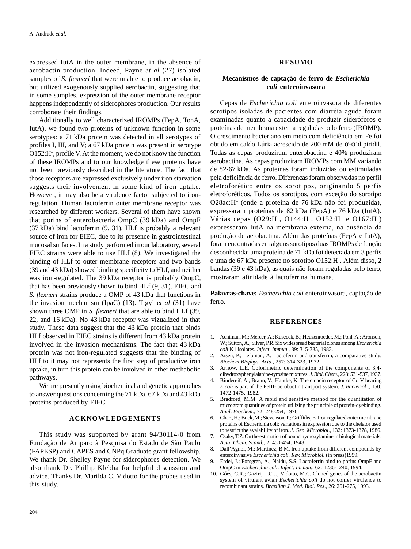expressed IutA in the outer membrane, in the absence of aerobactin production. Indeed, Payne *et al* (27) isolated samples of *S. flexneri* that were unable to produce aerobacin, but utilized exogenously supplied aerobactin, suggesting that in some samples, expression of the outer membrane receptor happens independently of siderophores production. Our results corroborate their findings.

Additionally to well characterized IROMPs (FepA, TonA, IutA), we found two proteins of unknown function in some serotypes: a 71 kDa protein was detected in all serotypes of profiles I, III, and V; a 67 kDa protein was present in serotype O152:H– , profile V. At the moment, we do not know the function of these IROMPs and to our knowledge these proteins have not been previously described in the literature. The fact that those receptors are expressed exclusively under iron starvation suggests their involvement in some kind of iron uptake. However, it may also be a virulence factor subjected to ironregulation. Human lactoferrin outer membrane receptor was researched by different workers. Several of them have shown that porins of enterobacteria OmpC (39 kDa) and OmpF (37 kDa) bind lactoferrin (9, 31). HLf is probably a relevant source of iron for EIEC, due to its presence in gastrointestinal mucosal surfaces. In a study performed in our laboratory, several EIEC strains were able to use HLf (8). We investigated the binding of HLf to outer membrane receptors and two bands (39 and 43 kDa) showed binding specificity to HLf, and neither was iron-regulated. The 39 kDa receptor is probably OmpC, that has been previously shown to bind HLf (9, 31). EIEC and *S. flexneri* strains produce a OMP of 43 kDa that functions in the invasion mechanism (IpaC) (13). Tigyi *et al* (31) have shown three OMP in *S. flexneri* that are able to bind HLf (39, 22, and 16 kDa). No 43 kDa receptor was vizualized in that study. These data suggest that the 43 kDa protein that binds HLf observed in EIEC strains is different from 43 kDa protein involved in the invasion mechanisms. The fact that 43 kDa protein was not iron-regulated suggests that the binding of HLf to it may not represents the first step of productive iron uptake, in turn this protein can be involved in other methabolic pathways.

We are presently using biochemical and genetic approaches to answer questions concerning the 71 kDa, 67 kDa and 43 kDa proteins produced by EIEC.

#### **ACKNOWLEDGEMENTS**

This study was supported by grant 94/30114-0 from Fundação de Amparo à Pesquisa do Estado de São Paulo (FAPESP) and CAPES and CNPq Graduate grant fellowship. We thank Dr. Shelley Payne for siderophores detection. We also thank Dr. Phillip Klebba for helpful discussion and advice. Thanks Dr. Marilda C. Vidotto for the probes used in this study.

### **RESUMO**

## **Mecanismos de captação de ferro de** *Escherichia coli* **enteroinvasora**

Cepas de *Escherichia coli* enteroinvasora de diferentes sorotipos isoladas de pacientes com diarréia aguda foram examinadas quanto a capacidade de produzir sideróforos e proteínas de membrana externa reguladas pelo ferro (IROMP). O crescimento bacteriano em meio com deficiência em Fe foi obtido em caldo Lúria acrescido de 200 mM de α-α'dipiridil. Todas as cepas produziram enterobactina e 40% produziram aerobactina. As cepas produziram IROMPs com MM variando de 82-67 kDa. As proteínas foram induzidas ou estimuladas pela deficiência de ferro. Diferenças foram observadas no perfil eletroforético entre os sorotipos, originando 5 perfis eletroforéticos. Todos os sorotipos, com exceção do sorotipo O28ac:H– (onde a proteína de 76 kDa não foi produzida), expressaram proteínas de 82 kDa (FepA) e 76 kDa (IutA). Várias cepas (O29:H<sup>-</sup>, O144:H<sup>-</sup>, O152:H<sup>-</sup> e O167:H<sup>-</sup>) expressaram IutA na membrana externa, na ausência da produção de aerobactina. Além das proteínas (FepA e IutA), foram encontradas em alguns sorotipos duas IROMPs de função desconhecida: uma proteína de 71 kDa foi detectada em 3 perfis e uma de 67 kDa presente no sorotipo O152:H– . Além disso, 2 bandas (39 e 43 kDa), as quais não foram reguladas pelo ferro, mostraram afinidade à lactoferrina humana.

**Palavras-chave:** *Escherichia coli* enteroinvasora, captação de ferro.

### **REFERENCES**

- 1. Achtman, M.; Mercer, A.; Kusecek, B.; Heuzenroeder, M.; Pohl, A.; Aronson, W.; Sutton, A.; Silver, P.R. Six widespread bacterial clones among *Escherichia coli* K1 isolates. *Infect*. *Immun*., 39: 315-335, 1983.
- 2. Aisen, P.; Leibman, A. Lactoferrin and transferrin, a comparative study. *Biochem Biophys*. *Acta.*, 257: 314-323, 1972.
- 3. Arnow, L.E. Colorimetric determination of the components of 3,4 dihydroxyphenylalanine-tyrosine mixtures. *J*. *Biol*. *Chem*., 228: 531-537, 1937.
- 4. Bindereif, A.; Braun, V.; Hantke, K. The cloacin receptor of ColV bearing *E.coli* is part of the FeIII- aerobactin transport system. *J*. *Bacteriol* ., 150: 1472-1475, 1982.
- 5. Bradford, M.M. A rapid and sensitive method for the quantitation of microgram quantities of protein utilizing the principle of protein-dyebinding. *Anal*. *Biochem*., 72: 248-254, 1976.
- 6. Chart, H.; Buck, M.; Stevenson, P.; Griffiths, E. Iron regulated outer membrane proteins of Escherichia coli: variations in expression due to the chelator used to restrict the avalability of iron. *J*. *Gen. Microbiol*., 132: 1373-1378, 1986.
- 7. Csaky, T.Z. On the estimation of bound hydroxylamine in biological materials. *Acta*. *Chem. Scand*., 2: 450-454, 1948.
- 8. Dall'Agnol, M.; Martinez, B.M. Iron uptake from different compounds by enteroinvasive *Escherichia coli. Rev. Microbiol.* (in press)1999.
- 9. Erdei, J.; Forsgren, A.; Naidu, S.S. Lactoferrin bind to porins OmpF and OmpC in *Escherichia coli*. *Infect*. *Immun*., 62: 1236-1240, 1994.
- 10. Góes, C.R.; Gaziri, L.C.J.; Vidotto, M.C. Cloned genes of the aerobactin system of virulent avian *Escherichia coli* do not confer virulence to recombinant strains. *Brazilian J*. *Med*. *Biol*. *Res*., 26: 261-275, 1993.